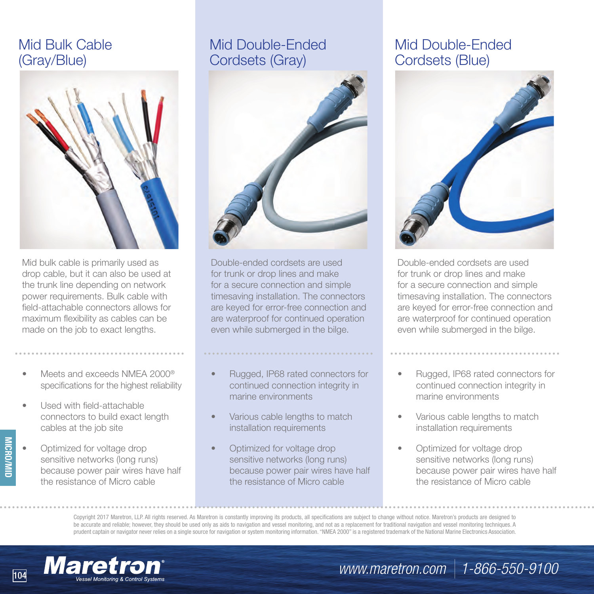# Mid Bulk Cable (Gray/Blue)



Mid bulk cable is primarily used as drop cable, but it can also be used at the trunk line depending on network power requirements. Bulk cable with field-attachable connectors allows for maximum flexibility as cables can be made on the job to exact lengths.

- Meets and exceeds NMFA 2000<sup>®</sup> specifications for the highest reliability
- Used with field-attachable connectors to build exact length cables at the job site

**MICRO/MID**

Optimized for voltage drop sensitive networks (long runs) because power pair wires have half the resistance of Micro cable

# Mid Double-Ended Cordsets (Gray)



Double-ended cordsets are used for trunk or drop lines and make for a secure connection and simple timesaving installation. The connectors are keyed for error-free connection and are waterproof for continued operation even while submerged in the bilge.

### • Rugged, IP68 rated connectors for continued connection integrity in marine environments

- Various cable lengths to match installation requirements
- Optimized for voltage drop sensitive networks (long runs) because power pair wires have half the resistance of Micro cable

## Mid Double-Ended Cordsets (Blue)



Double-ended cordsets are used for trunk or drop lines and make for a secure connection and simple timesaving installation. The connectors are keyed for error-free connection and are waterproof for continued operation even while submerged in the bilge.

- Rugged, IP68 rated connectors for continued connection integrity in marine environments
- Various cable lengths to match installation requirements
- Optimized for voltage drop sensitive networks (long runs) because power pair wires have half the resistance of Micro cable

Copyright 2017 Maretron, LLP. All rights reserved. As Maretron is constantly improving its products, all specifications are subject to change without notice. Maretron's products are designed to be accurate and reliable; however, they should be used only as aids to navigation and vessel monitoring, and not as a replacement for traditional navigation and vessel monitoring techniques. A prudent captain or navigator never relies on a single source for navigation or system monitoring information. "NMEA 2000" is a registered trademark of the National Marine Electronics Association